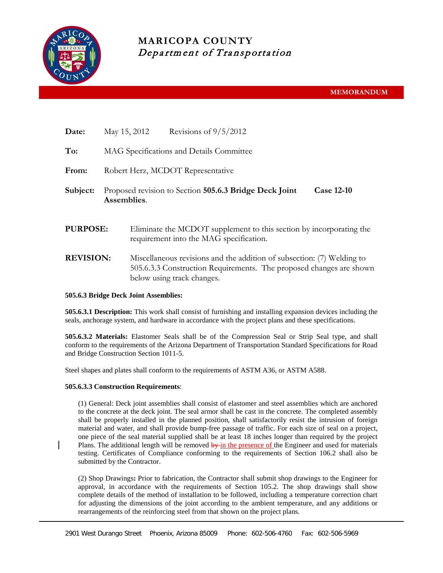

## **MARICOPA COUNTY** Department of Transportation

| Date:            | May 15, 2012                                                                               |                                                                                                                                                                             | Revisions of $9/5/2012$ |  |  |  |
|------------------|--------------------------------------------------------------------------------------------|-----------------------------------------------------------------------------------------------------------------------------------------------------------------------------|-------------------------|--|--|--|
| To:              | MAG Specifications and Details Committee                                                   |                                                                                                                                                                             |                         |  |  |  |
| From:            | Robert Herz, MCDOT Representative                                                          |                                                                                                                                                                             |                         |  |  |  |
| Subject:         | Proposed revision to Section 505.6.3 Bridge Deck Joint<br><b>Case 12-10</b><br>Assemblies. |                                                                                                                                                                             |                         |  |  |  |
| <b>PURPOSE:</b>  |                                                                                            | Eliminate the MCDOT supplement to this section by incorporating the<br>requirement into the MAG specification.                                                              |                         |  |  |  |
| <b>REVISION:</b> |                                                                                            | Miscellaneous revisions and the addition of subsection: (7) Welding to<br>505.6.3.3 Construction Requirements. The proposed changes are shown<br>below using track changes. |                         |  |  |  |

## **505.6.3 Bridge Deck Joint Assemblies:**

**505.6.3.1 Description:** This work shall consist of furnishing and installing expansion devices including the seals, anchorage system, and hardware in accordance with the project plans and these specifications.

**505.6.3.2 Materials:** Elastomer Seals shall be of the Compression Seal or Strip Seal type, and shall conform to the requirements of the Arizona Department of Transportation Standard Specifications for Road and Bridge Construction Section 1011-5.

Steel shapes and plates shall conform to the requirements of ASTM A36, or ASTM A588.

## **505.6.3.3 Construction Requirements**:

(1) General: Deck joint assemblies shall consist of elastomer and steel assemblies which are anchored to the concrete at the deck joint. The seal armor shall be cast in the concrete. The completed assembly shall be properly installed in the planned position, shall satisfactorily resist the intrusion of foreign material and water, and shall provide bump-free passage of traffic. For each size of seal on a project, one piece of the seal material supplied shall be at least 18 inches longer than required by the project Plans. The additional length will be removed  $\frac{b}{y}$  in the presence of the Engineer and used for materials testing. Certificates of Compliance conforming to the requirements of Section 106.2 shall also be submitted by the Contractor.

(2) Shop Drawings**:** Prior to fabrication, the Contractor shall submit shop drawings to the Engineer for approval, in accordance with the requirements of Section 105.2. The shop drawings shall show complete details of the method of installation to be followed, including a temperature correction chart for adjusting the dimensions of the joint according to the ambient temperature, and any additions or rearrangements of the reinforcing steel from that shown on the project plans.